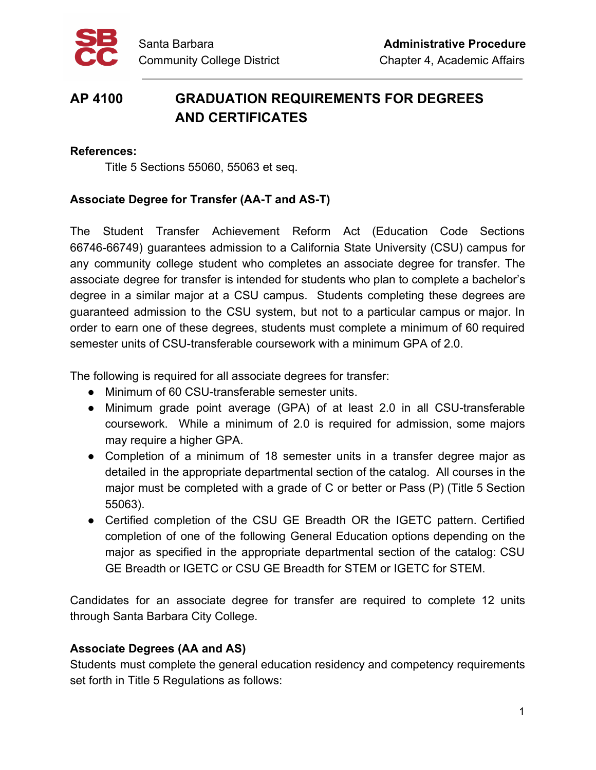

# **AP 4100 GRADUATION REQUIREMENTS FOR DEGREES AND CERTIFICATES**

#### **References:**

Title 5 Sections 55060, 55063 et seq.

# **Associate Degree for Transfer (AA-T and AS-T)**

The Student Transfer Achievement Reform Act (Education Code Sections 66746-66749) guarantees admission to a California State University (CSU) campus for any community college student who completes an associate degree for transfer. The associate degree for transfer is intended for students who plan to complete a bachelor's degree in a similar major at a CSU campus. Students completing these degrees are guaranteed admission to the CSU system, but not to a particular campus or major. In order to earn one of these degrees, students must complete a minimum of 60 required semester units of CSU-transferable coursework with a minimum GPA of 2.0.

The following is required for all associate degrees for transfer:

- Minimum of 60 CSU-transferable semester units.
- Minimum grade point average (GPA) of at least 2.0 in all CSU-transferable coursework. While a minimum of 2.0 is required for admission, some majors may require a higher GPA.
- Completion of a minimum of 18 semester units in a transfer degree major as detailed in the appropriate departmental section of the catalog. All courses in the major must be completed with a grade of C or better or Pass (P) (Title 5 Section 55063).
- Certified completion of the CSU GE Breadth OR the IGETC pattern. Certified completion of one of the following General Education options depending on the major as specified in the appropriate departmental section of the catalog: CSU GE Breadth or IGETC or CSU GE Breadth for STEM or IGETC for STEM.

Candidates for an associate degree for transfer are required to complete 12 units through Santa Barbara City College.

# **Associate Degrees (AA and AS)**

Students must complete the general education residency and competency requirements set forth in Title 5 Regulations as follows: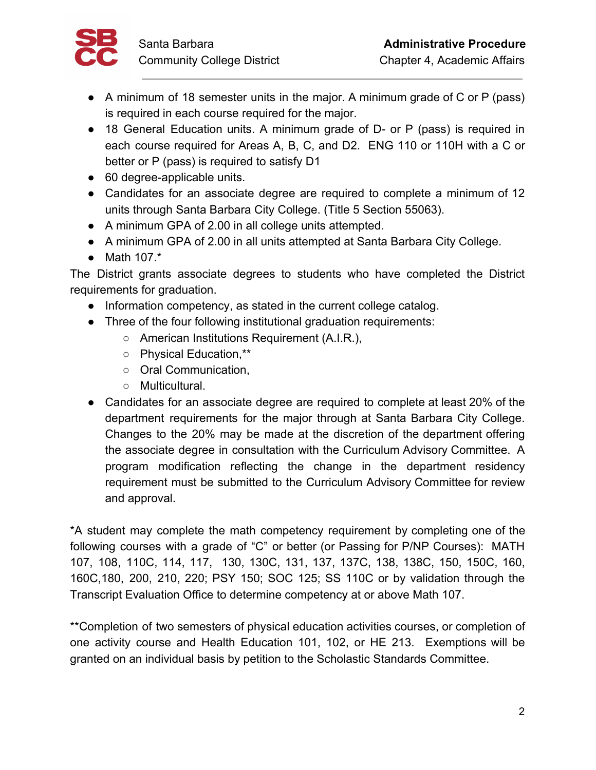

- A minimum of 18 semester units in the major. A minimum grade of C or P (pass) is required in each course required for the major.
- 18 General Education units. A minimum grade of D- or P (pass) is required in each course required for Areas A, B, C, and D2. ENG 110 or 110H with a C or better or P (pass) is required to satisfy D1
- 60 degree-applicable units.
- Candidates for an associate degree are required to complete a minimum of 12 units through Santa Barbara City College. (Title 5 Section 55063).
- A minimum GPA of 2.00 in all college units attempted.
- A minimum GPA of 2.00 in all units attempted at Santa Barbara City College.
- Math 107.\*

The District grants associate degrees to students who have completed the District requirements for graduation.

- Information competency, as stated in the current college catalog.
- Three of the four following institutional graduation requirements:
	- American Institutions Requirement (A.I.R.),
	- Physical Education,\*\*
	- Oral Communication,
	- Multicultural.
- Candidates for an associate degree are required to complete at least 20% of the department requirements for the major through at Santa Barbara City College. Changes to the 20% may be made at the discretion of the department offering the associate degree in consultation with the Curriculum Advisory Committee. A program modification reflecting the change in the department residency requirement must be submitted to the Curriculum Advisory Committee for review and approval.

\*A student may complete the math competency requirement by completing one of the following courses with a grade of "C" or better (or Passing for P/NP Courses): MATH 107, 108, 110C, 114, 117, 130, 130C, 131, 137, 137C, 138, 138C, 150, 150C, 160, 160C,180, 200, 210, 220; PSY 150; SOC 125; SS 110C or by validation through the Transcript Evaluation Office to determine competency at or above Math 107.

\*\*Completion of two semesters of physical education activities courses, or completion of one activity course and Health Education 101, 102, or HE 213. Exemptions will be granted on an individual basis by petition to the Scholastic Standards Committee.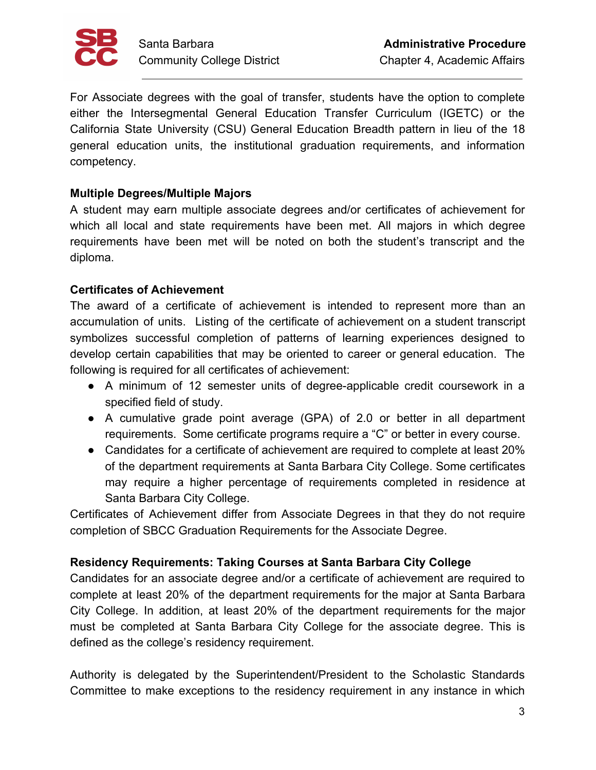

For Associate degrees with the goal of transfer, students have the option to complete either the Intersegmental General Education Transfer Curriculum (IGETC) or the California State University (CSU) General Education Breadth pattern in lieu of the 18 general education units, the institutional graduation requirements, and information competency.

## **Multiple Degrees/Multiple Majors**

A student may earn multiple associate degrees and/or certificates of achievement for which all local and state requirements have been met. All majors in which degree requirements have been met will be noted on both the student's transcript and the diploma.

## **Certificates of Achievement**

The award of a certificate of achievement is intended to represent more than an accumulation of units. Listing of the certificate of achievement on a student transcript symbolizes successful completion of patterns of learning experiences designed to develop certain capabilities that may be oriented to career or general education. The following is required for all certificates of achievement:

- A minimum of 12 semester units of degree-applicable credit coursework in a specified field of study.
- A cumulative grade point average (GPA) of 2.0 or better in all department requirements. Some certificate programs require a "C" or better in every course.
- Candidates for a certificate of achievement are required to complete at least 20% of the department requirements at Santa Barbara City College. Some certificates may require a higher percentage of requirements completed in residence at Santa Barbara City College.

Certificates of Achievement differ from Associate Degrees in that they do not require completion of SBCC Graduation Requirements for the Associate Degree.

# **Residency Requirements: Taking Courses at Santa Barbara City College**

Candidates for an associate degree and/or a certificate of achievement are required to complete at least 20% of the department requirements for the major at Santa Barbara City College. In addition, at least 20% of the department requirements for the major must be completed at Santa Barbara City College for the associate degree. This is defined as the college's residency requirement.

Authority is delegated by the Superintendent/President to the Scholastic Standards Committee to make exceptions to the residency requirement in any instance in which